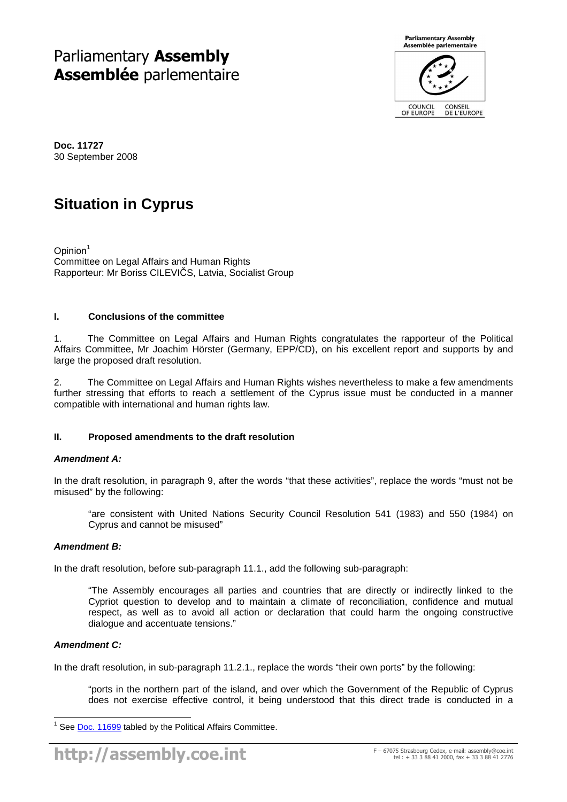# Parliamentary **Assembly Assemblée** parlementaire



**Doc. 11727**  30 September 2008

# **Situation in Cyprus**

Opinion<sup>1</sup> Committee on Legal Affairs and Human Rights Rapporteur: Mr Boriss CILEVIČS, Latvia, Socialist Group

# **I. Conclusions of the committee**

1. The Committee on Legal Affairs and Human Rights congratulates the rapporteur of the Political Affairs Committee, Mr Joachim Hörster (Germany, EPP/CD), on his excellent report and supports by and large the proposed draft resolution.

2. The Committee on Legal Affairs and Human Rights wishes nevertheless to make a few amendments further stressing that efforts to reach a settlement of the Cyprus issue must be conducted in a manner compatible with international and human rights law.

# **II. Proposed amendments to the draft resolution**

## **Amendment A:**

In the draft resolution, in paragraph 9, after the words "that these activities", replace the words "must not be misused" by the following:

"are consistent with United Nations Security Council Resolution 541 (1983) and 550 (1984) on Cyprus and cannot be misused"

## **Amendment B:**

In the draft resolution, before sub-paragraph 11.1., add the following sub-paragraph:

"The Assembly encourages all parties and countries that are directly or indirectly linked to the Cypriot question to develop and to maintain a climate of reconciliation, confidence and mutual respect, as well as to avoid all action or declaration that could harm the ongoing constructive dialogue and accentuate tensions."

## **Amendment C:**

In the draft resolution, in sub-paragraph 11.2.1., replace the words "their own ports" by the following:

"ports in the northern part of the island, and over which the Government of the Republic of Cyprus does not exercise effective control, it being understood that this direct trade is conducted in a

 $\overline{a}$ 1 See Doc. 11699 tabled by the Political Affairs Committee.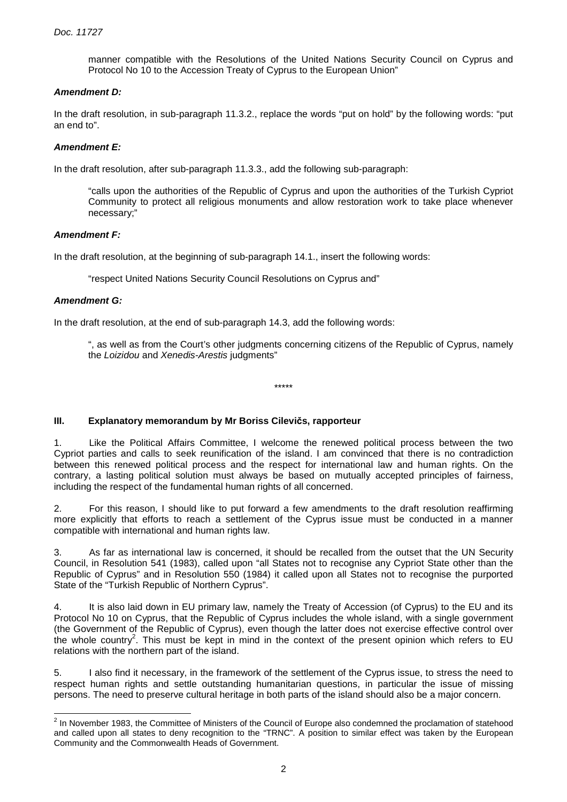manner compatible with the Resolutions of the United Nations Security Council on Cyprus and Protocol No 10 to the Accession Treaty of Cyprus to the European Union"

## **Amendment D:**

In the draft resolution, in sub-paragraph 11.3.2., replace the words "put on hold" by the following words: "put an end to".

# **Amendment E:**

In the draft resolution, after sub-paragraph 11.3.3., add the following sub-paragraph:

"calls upon the authorities of the Republic of Cyprus and upon the authorities of the Turkish Cypriot Community to protect all religious monuments and allow restoration work to take place whenever necessary;"

## **Amendment F:**

In the draft resolution, at the beginning of sub-paragraph 14.1., insert the following words:

"respect United Nations Security Council Resolutions on Cyprus and"

# **Amendment G:**

In the draft resolution, at the end of sub-paragraph 14.3, add the following words:

", as well as from the Court's other judgments concerning citizens of the Republic of Cyprus, namely the Loizidou and Xenedis-Arestis judgments"

# **III. Explanatory memorandum by Mr Boriss Cilevičs, rapporteur**

1. Like the Political Affairs Committee, I welcome the renewed political process between the two Cypriot parties and calls to seek reunification of the island. I am convinced that there is no contradiction between this renewed political process and the respect for international law and human rights. On the contrary, a lasting political solution must always be based on mutually accepted principles of fairness, including the respect of the fundamental human rights of all concerned.

\*\*\*\*\*

2. For this reason, I should like to put forward a few amendments to the draft resolution reaffirming more explicitly that efforts to reach a settlement of the Cyprus issue must be conducted in a manner compatible with international and human rights law.

3. As far as international law is concerned, it should be recalled from the outset that the UN Security Council, in Resolution 541 (1983), called upon "all States not to recognise any Cypriot State other than the Republic of Cyprus" and in Resolution 550 (1984) it called upon all States not to recognise the purported State of the "Turkish Republic of Northern Cyprus".

4. It is also laid down in EU primary law, namely the Treaty of Accession (of Cyprus) to the EU and its Protocol No 10 on Cyprus, that the Republic of Cyprus includes the whole island, with a single government (the Government of the Republic of Cyprus), even though the latter does not exercise effective control over the whole country<sup>2</sup>. This must be kept in mind in the context of the present opinion which refers to EU relations with the northern part of the island.

5. I also find it necessary, in the framework of the settlement of the Cyprus issue, to stress the need to respect human rights and settle outstanding humanitarian questions, in particular the issue of missing persons. The need to preserve cultural heritage in both parts of the island should also be a major concern.

 $\overline{a}$  $2$  In November 1983, the Committee of Ministers of the Council of Europe also condemned the proclamation of statehood and called upon all states to deny recognition to the "TRNC". A position to similar effect was taken by the European Community and the Commonwealth Heads of Government.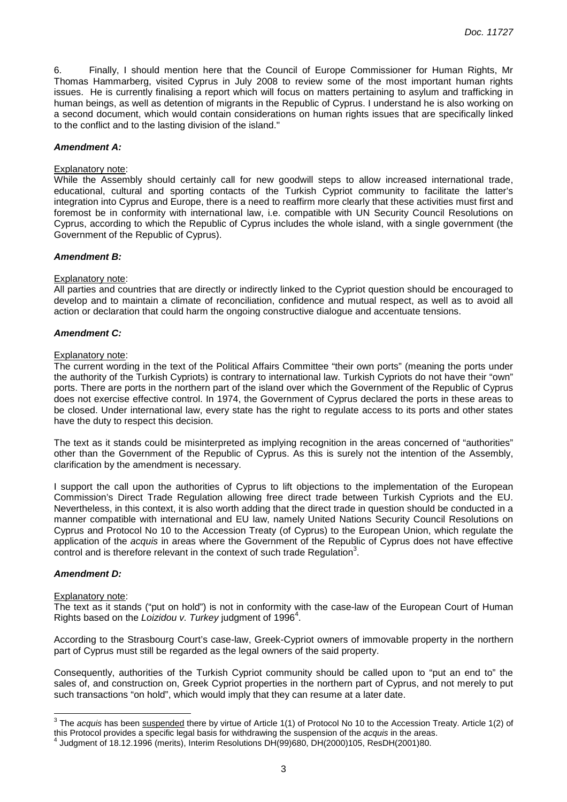6. Finally, I should mention here that the Council of Europe Commissioner for Human Rights, Mr Thomas Hammarberg, visited Cyprus in July 2008 to review some of the most important human rights issues. He is currently finalising a report which will focus on matters pertaining to asylum and trafficking in human beings, as well as detention of migrants in the Republic of Cyprus. I understand he is also working on a second document, which would contain considerations on human rights issues that are specifically linked to the conflict and to the lasting division of the island."

#### **Amendment A:**

#### Explanatory note:

While the Assembly should certainly call for new goodwill steps to allow increased international trade, educational, cultural and sporting contacts of the Turkish Cypriot community to facilitate the latter's integration into Cyprus and Europe, there is a need to reaffirm more clearly that these activities must first and foremost be in conformity with international law, i.e. compatible with UN Security Council Resolutions on Cyprus, according to which the Republic of Cyprus includes the whole island, with a single government (the Government of the Republic of Cyprus).

#### **Amendment B:**

#### Explanatory note:

All parties and countries that are directly or indirectly linked to the Cypriot question should be encouraged to develop and to maintain a climate of reconciliation, confidence and mutual respect, as well as to avoid all action or declaration that could harm the ongoing constructive dialogue and accentuate tensions.

#### **Amendment C:**

#### Explanatory note:

The current wording in the text of the Political Affairs Committee "their own ports" (meaning the ports under the authority of the Turkish Cypriots) is contrary to international law. Turkish Cypriots do not have their "own" ports. There are ports in the northern part of the island over which the Government of the Republic of Cyprus does not exercise effective control. In 1974, the Government of Cyprus declared the ports in these areas to be closed. Under international law, every state has the right to regulate access to its ports and other states have the duty to respect this decision.

The text as it stands could be misinterpreted as implying recognition in the areas concerned of "authorities" other than the Government of the Republic of Cyprus. As this is surely not the intention of the Assembly, clarification by the amendment is necessary.

I support the call upon the authorities of Cyprus to lift objections to the implementation of the European Commission's Direct Trade Regulation allowing free direct trade between Turkish Cypriots and the EU. Nevertheless, in this context, it is also worth adding that the direct trade in question should be conducted in a manner compatible with international and EU law, namely United Nations Security Council Resolutions on Cyprus and Protocol No 10 to the Accession Treaty (of Cyprus) to the European Union, which regulate the application of the acquis in areas where the Government of the Republic of Cyprus does not have effective  $\frac{1}{2}$  control and is therefore relevant in the context of such trade Regulation<sup>3</sup>.

#### **Amendment D:**

 $\overline{a}$ 

#### Explanatory note:

The text as it stands ("put on hold") is not in conformity with the case-law of the European Court of Human Rights based on the Loizidou v. Turkey judgment of 1996<sup>4</sup>.

According to the Strasbourg Court's case-law, Greek-Cypriot owners of immovable property in the northern part of Cyprus must still be regarded as the legal owners of the said property.

Consequently, authorities of the Turkish Cypriot community should be called upon to "put an end to" the sales of, and construction on, Greek Cypriot properties in the northern part of Cyprus, and not merely to put such transactions "on hold", which would imply that they can resume at a later date.

<sup>&</sup>lt;sup>3</sup> The *acquis* has been **suspended** there by virtue of Article 1(1) of Protocol No 10 to the Accession Treaty. Article 1(2) of this Protocol provides a specific legal basis for withdrawing the suspension of the *acquis* in the areas.<br><sup>4</sup> Judgment of 18,12,1996 (merite), Interim Beselutions DH(99)689, DH(2000)195, BesDH(2001)80.

Judgment of 18.12.1996 (merits), Interim Resolutions DH(99)680, DH(2000)105, ResDH(2001)80.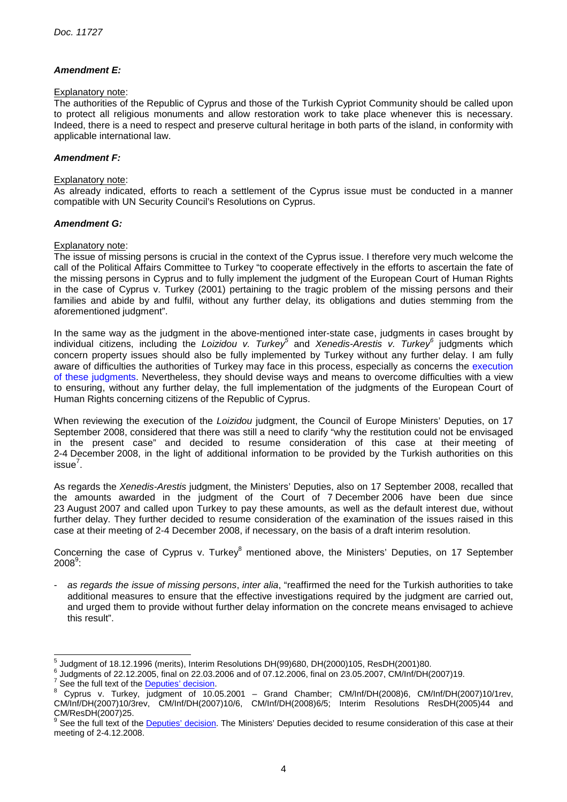# **Amendment E:**

#### Explanatory note:

The authorities of the Republic of Cyprus and those of the Turkish Cypriot Community should be called upon to protect all religious monuments and allow restoration work to take place whenever this is necessary. Indeed, there is a need to respect and preserve cultural heritage in both parts of the island, in conformity with applicable international law.

## **Amendment F:**

#### Explanatory note:

As already indicated, efforts to reach a settlement of the Cyprus issue must be conducted in a manner compatible with UN Security Council's Resolutions on Cyprus.

## **Amendment G:**

#### Explanatory note:

The issue of missing persons is crucial in the context of the Cyprus issue. I therefore very much welcome the call of the Political Affairs Committee to Turkey "to cooperate effectively in the efforts to ascertain the fate of the missing persons in Cyprus and to fully implement the judgment of the European Court of Human Rights in the case of Cyprus v. Turkey (2001) pertaining to the tragic problem of the missing persons and their families and abide by and fulfil, without any further delay, its obligations and duties stemming from the aforementioned judgment".

In the same way as the judgment in the above-mentioned inter-state case, judgments in cases brought by individual citizens, including the Loizidou v. Turkey<sup>5</sup> and Xenedis-Arestis v. Turkey<sup>6</sup> judgments which concern property issues should also be fully implemented by Turkey without any further delay. I am fully aware of difficulties the authorities of Turkey may face in this process, especially as concerns the execution of these judgments. Nevertheless, they should devise ways and means to overcome difficulties with a view to ensuring, without any further delay, the full implementation of the judgments of the European Court of Human Rights concerning citizens of the Republic of Cyprus.

When reviewing the execution of the Loizidou judgment, the Council of Europe Ministers' Deputies, on 17 September 2008, considered that there was still a need to clarify "why the restitution could not be envisaged in the present case" and decided to resume consideration of this case at their meeting of 2-4 December 2008, in the light of additional information to be provided by the Turkish authorities on this issue $^7$ .

As regards the Xenedis-Arestis judgment, the Ministers' Deputies, also on 17 September 2008, recalled that the amounts awarded in the judgment of the Court of 7 December 2006 have been due since 23 August 2007 and called upon Turkey to pay these amounts, as well as the default interest due, without further delay. They further decided to resume consideration of the examination of the issues raised in this case at their meeting of 2-4 December 2008, if necessary, on the basis of a draft interim resolution.

Concerning the case of Cyprus v. Turkey<sup>8</sup> mentioned above, the Ministers' Deputies, on 17 September  $2008^\mathrm{9}$ :

as regards the issue of missing persons, inter alia, "reaffirmed the need for the Turkish authorities to take additional measures to ensure that the effective investigations required by the judgment are carried out, and urged them to provide without further delay information on the concrete means envisaged to achieve this result".

 5 Judgment of 18.12.1996 (merits), Interim Resolutions DH(99)680, DH(2000)105, ResDH(2001)80.

<sup>6</sup> Judgments of 22.12.2005, final on 22.03.2006 and of 07.12.2006, final on 23.05.2007, CM/Inf/DH(2007)19.

<sup>&</sup>lt;sup>7</sup> See the full text of the **Deputies' decision**.

<sup>&</sup>lt;sup>8</sup> Cyprus v. Turkey, judgment of 10.05.2001 – Grand Chamber; CM/Inf/DH(2008)6, CM/Inf/DH(2007)10/1rev, CM/Inf/DH(2007)10/3rev, CM/Inf/DH(2007)10/6, CM/Inf/DH(2008)6/5; Interim Resolutions ResDH(2005)44 and CM/ResDH(2007)25.

<sup>9</sup> See the full text of the Deputies' decision. The Ministers' Deputies decided to resume consideration of this case at their meeting of 2-4.12.2008.